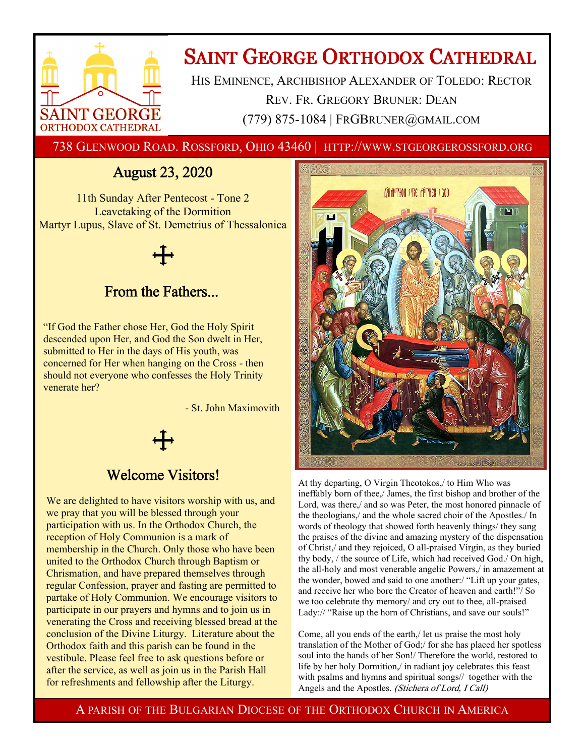

# **SAINT GEORGE ORTHODOX CATHEDRAL**

HIS EMINENCE, ARCHBISHOP ALEXANDER OF TOLEDO: RECTOR REV. FR. GREGORY BRUNER: DEAN (779) 875-1084 | FRGBRUNER@GMAIL.COM

738 GLENWOOD ROAD. ROSSFORD, OHIO 43460 | HTTP://WWW.STGEORGEROSSFORD.ORG

## August 23, 2020

11th Sunday After Pentecost - Tone 2 Leavetaking of the Dormition Martyr Lupus, Slave of St. Demetrius of Thessalonica

### From the Fathers...

"If God the Father chose Her, God the Holy Spirit descended upon Her, and God the Son dwelt in Her, submitted to Her in the days of His youth, was concerned for Her when hanging on the Cross - then should not everyone who confesses the Holy Trinity venerate her?

- St. John Maximovith

### Welcome Visitors!

We are delighted to have visitors worship with us, and we pray that you will be blessed through your participation with us. In the Orthodox Church, the reception of Holy Communion is a mark of membership in the Church. Only those who have been united to the Orthodox Church through Baptism or Chrismation, and have prepared themselves through regular Confession, prayer and fasting are permitted to partake of Holy Communion. We encourage visitors to participate in our prayers and hymns and to join us in venerating the Cross and receiving blessed bread at the conclusion of the Divine Liturgy. Literature about the Orthodox faith and this parish can be found in the vestibule. Please feel free to ask questions before or after the service, as well as join us in the Parish Hall for refreshments and fellowship after the Liturgy.



At thy departing, O Virgin Theotokos,/ to Him Who was ineffably born of thee,/ James, the first bishop and brother of the Lord, was there,/ and so was Peter, the most honored pinnacle of the theologians,/ and the whole sacred choir of the Apostles./ In words of theology that showed forth heavenly things/ they sang the praises of the divine and amazing mystery of the dispensation of Christ,/ and they rejoiced, O all-praised Virgin, as they buried thy body, / the source of Life, which had received God./ On high, the all-holy and most venerable angelic Powers,/ in amazement at the wonder, bowed and said to one another:/ "Lift up your gates, and receive her who bore the Creator of heaven and earth!"/ So we too celebrate thy memory/ and cry out to thee, all-praised Lady:// "Raise up the horn of Christians, and save our souls!"

Come, all you ends of the earth,/ let us praise the most holy translation of the Mother of God;/ for she has placed her spotless soul into the hands of her Son!/ Therefore the world, restored to life by her holy Dormition,/ in radiant joy celebrates this feast with psalms and hymns and spiritual songs// together with the Angels and the Apostles. (Stichera of Lord, I Call)

A PARISH OF THE BULGARIAN DIOCESE OF THE ORTHODOX CHURCH IN AMERICA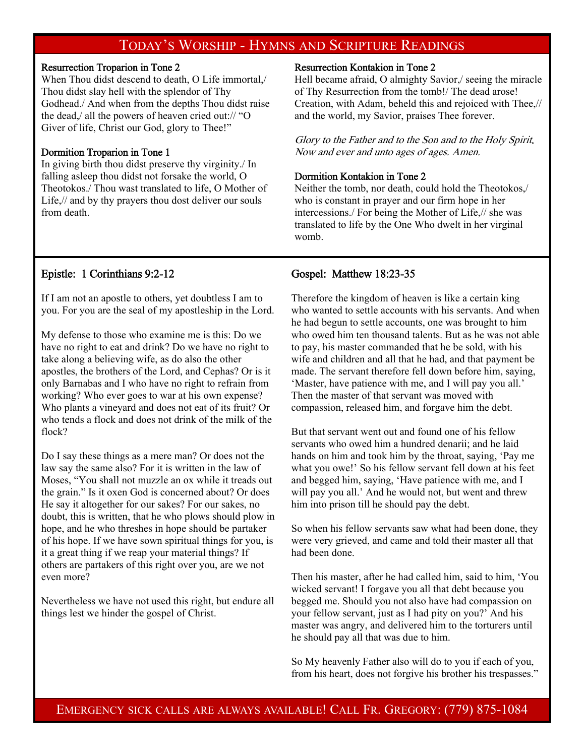### TODAY'S WORSHIP - HYMNS AND SCRIPTURE READINGS

#### Resurrection Troparion in Tone 2

When Thou didst descend to death, O Life immortal,/ Thou didst slay hell with the splendor of Thy Godhead./ And when from the depths Thou didst raise the dead,/ all the powers of heaven cried out:// "O Giver of life, Christ our God, glory to Thee!"

#### Dormition Troparion in Tone 1

In giving birth thou didst preserve thy virginity./ In falling asleep thou didst not forsake the world, O Theotokos./ Thou wast translated to life, O Mother of Life,// and by thy prayers thou dost deliver our souls from death.

#### Resurrection Kontakion in Tone 2

Hell became afraid, O almighty Savior,/ seeing the miracle of Thy Resurrection from the tomb!/ The dead arose! Creation, with Adam, beheld this and rejoiced with Thee,// and the world, my Savior, praises Thee forever.

Glory to the Father and to the Son and to the Holy Spirit. Now and ever and unto ages of ages. Amen.

#### Dormition Kontakion in Tone 2

Neither the tomb, nor death, could hold the Theotokos,/ who is constant in prayer and our firm hope in her intercessions./ For being the Mother of Life,// she was translated to life by the One Who dwelt in her virginal womb.

#### Epistle: 1 Corinthians 9:2-12

If I am not an apostle to others, yet doubtless I am to you. For you are the seal of my apostleship in the Lord.

My defense to those who examine me is this: Do we have no right to eat and drink? Do we have no right to take along a believing wife, as do also the other apostles, the brothers of the Lord, and Cephas? Or is it only Barnabas and I who have no right to refrain from working? Who ever goes to war at his own expense? Who plants a vineyard and does not eat of its fruit? Or who tends a flock and does not drink of the milk of the flock?

Do I say these things as a mere man? Or does not the law say the same also? For it is written in the law of Moses, "You shall not muzzle an ox while it treads out the grain." Is it oxen God is concerned about? Or does He say it altogether for our sakes? For our sakes, no doubt, this is written, that he who plows should plow in hope, and he who threshes in hope should be partaker of his hope. If we have sown spiritual things for you, is it a great thing if we reap your material things? If others are partakers of this right over you, are we not even more?

Nevertheless we have not used this right, but endure all things lest we hinder the gospel of Christ.

#### Gospel: Matthew 18:23-35

Therefore the kingdom of heaven is like a certain king who wanted to settle accounts with his servants. And when he had begun to settle accounts, one was brought to him who owed him ten thousand talents. But as he was not able to pay, his master commanded that he be sold, with his wife and children and all that he had, and that payment be made. The servant therefore fell down before him, saying, 'Master, have patience with me, and I will pay you all.' Then the master of that servant was moved with compassion, released him, and forgave him the debt.

But that servant went out and found one of his fellow servants who owed him a hundred denarii; and he laid hands on him and took him by the throat, saying, 'Pay me what you owe!' So his fellow servant fell down at his feet and begged him, saying, 'Have patience with me, and I will pay you all.' And he would not, but went and threw him into prison till he should pay the debt.

So when his fellow servants saw what had been done, they were very grieved, and came and told their master all that had been done.

Then his master, after he had called him, said to him, 'You wicked servant! I forgave you all that debt because you begged me. Should you not also have had compassion on your fellow servant, just as I had pity on you?' And his master was angry, and delivered him to the torturers until he should pay all that was due to him.

So My heavenly Father also will do to you if each of you, from his heart, does not forgive his brother his trespasses."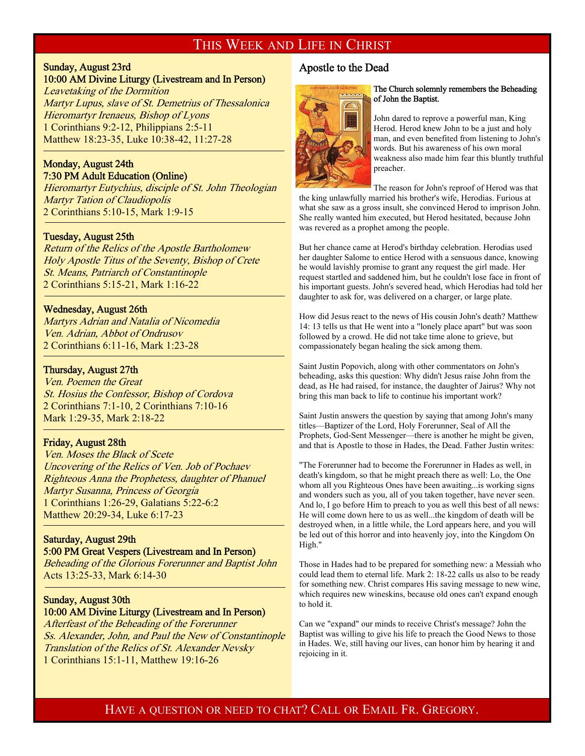### THIS WEEK AND LIFE IN CHRIST

## Sunday, August 23rd

10:00 AM Divine Liturgy (Livestream and In Person)

Leavetaking of the Dormition Martyr Lupus, slave of St. Demetrius of Thessalonica Hieromartyr Irenaeus, Bishop of Lyons 1 Corinthians 9:2-12, Philippians 2:5-11 Matthew 18:23-35, Luke 10:38-42, 11:27-28

#### Monday, August 24th 7:30 PM Adult Education (Online)

Hieromartyr Eutychius, disciple of St. John Theologian Martyr Tation of Claudiopolis 2 Corinthians 5:10-15, Mark 1:9-15

#### Tuesday, August 25th

f

<sup>-</sup>

f

Return of the Relics of the Apostle Bartholomew Holy Apostle Titus of the Seventy, Bishop of Crete St. Means, Patriarch of Constantinople 2 Corinthians 5:15-21, Mark 1:16-22

#### Wednesday, August 26th

Martyrs Adrian and Natalia of Nicomedia Ven. Adrian, Abbot of Ondrusov 2 Corinthians 6:11-16, Mark 1:23-28

#### Thursday, August 27th

Ven. Poemen the Great St. Hosius the Confessor, Bishop of Cordova 2 Corinthians 7:1-10, 2 Corinthians 7:10-16 Mark 1:29-35, Mark 2:18-22

#### Friday, August 28th

Ven. Moses the Black of Scete Uncovering of the Relics of Ven. Job of Pochaev Righteous Anna the Prophetess, daughter of Phanuel Martyr Susanna, Princess of Georgia 1 Corinthians 1:26-29, Galatians 5:22-6:2 Matthew 20:29-34, Luke 6:17-23

#### Saturday, August 29th 5:00 PM Great Vespers (Livestream and In Person)

Beheading of the Glorious Forerunner and Baptist John Acts 13:25-33, Mark 6:14-30

## Sunday, August 30th

#### 10:00 AM Divine Liturgy (Livestream and In Person) Afterfeast of the Beheading of the Forerunner Ss. Alexander, John, and Paul the New of Constantinople Translation of the Relics of St. Alexander Nevsky

1 Corinthians 15:1-11, Matthew 19:16-26

#### Apostle to the Dead



#### The Church solemnly remembers the Beheading of John the Baptist.

John dared to reprove a powerful man, King Herod. Herod knew John to be a just and holy man, and even benefited from listening to John's words. But his awareness of his own moral weakness also made him fear this bluntly truthful preacher.

The reason for John's reproof of Herod was that the king unlawfully married his brother's wife, Herodias. Furious at what she saw as a gross insult, she convinced Herod to imprison John. She really wanted him executed, but Herod hesitated, because John

But her chance came at Herod's birthday celebration. Herodias used her daughter Salome to entice Herod with a sensuous dance, knowing he would lavishly promise to grant any request the girl made. Her request startled and saddened him, but he couldn't lose face in front of his important guests. John's severed head, which Herodias had told her daughter to ask for, was delivered on a charger, or large plate.

was revered as a prophet among the people.

How did Jesus react to the news of His cousin John's death? Matthew 14: 13 tells us that He went into a "lonely place apart" but was soon followed by a crowd. He did not take time alone to grieve, but compassionately began healing the sick among them.

Saint Justin Popovich, along with other commentators on John's beheading, asks this question: Why didn't Jesus raise John from the dead, as He had raised, for instance, the daughter of Jairus? Why not bring this man back to life to continue his important work?

Saint Justin answers the question by saying that among John's many titles—Baptizer of the Lord, Holy Forerunner, Seal of All the Prophets, God-Sent Messenger—there is another he might be given, and that is Apostle to those in Hades, the Dead. Father Justin writes:

"The Forerunner had to become the Forerunner in Hades as well, in death's kingdom, so that he might preach there as well: Lo, the One whom all you Righteous Ones have been awaiting...is working signs and wonders such as you, all of you taken together, have never seen. And lo, I go before Him to preach to you as well this best of all news: He will come down here to us as well...the kingdom of death will be destroyed when, in a little while, the Lord appears here, and you will be led out of this horror and into heavenly joy, into the Kingdom On High."

Those in Hades had to be prepared for something new: a Messiah who could lead them to eternal life. Mark 2: 18-22 calls us also to be ready for something new. Christ compares His saving message to new wine, which requires new wineskins, because old ones can't expand enough to hold it.

Can we "expand" our minds to receive Christ's message? John the Baptist was willing to give his life to preach the Good News to those in Hades. We, still having our lives, can honor him by hearing it and rejoicing in it.

#### HAVE A QUESTION OR NEED TO CHAT? CALL OR EMAIL FR. GREGORY.